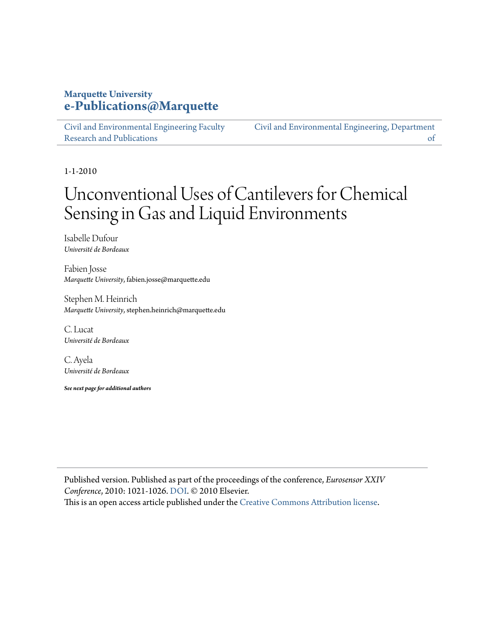# **Marquette University [e-Publications@Marquette](https://epublications.marquette.edu)**

[Civil and Environmental Engineering Faculty](https://epublications.marquette.edu/civengin_fac) [Research and Publications](https://epublications.marquette.edu/civengin_fac)

[Civil and Environmental Engineering, Department](https://epublications.marquette.edu/civengin) [of](https://epublications.marquette.edu/civengin)

1-1-2010

# Unconventional Uses of Cantilevers for Chemical Sensing in Gas and Liquid Environments

Isabelle Dufour *Université de Bordeaux*

Fabien Josse *Marquette University*, fabien.josse@marquette.edu

Stephen M. Heinrich *Marquette University*, stephen.heinrich@marquette.edu

C. Lucat *Université de Bordeaux*

C. Ayela *Université de Bordeaux*

*See next page for additional authors*

Published version. Published as part of the proceedings of the conference, *Eurosensor XXIV Conference*, 2010: 1021-1026. [DOI](http://dx.doi.org/10.1016/j.proeng.2010.09.283). © 2010 Elsevier. This is an open access article published under the [Creative Commons Attribution license.](http://creativecommons.org/licenses/by-nc-nd/3.0/)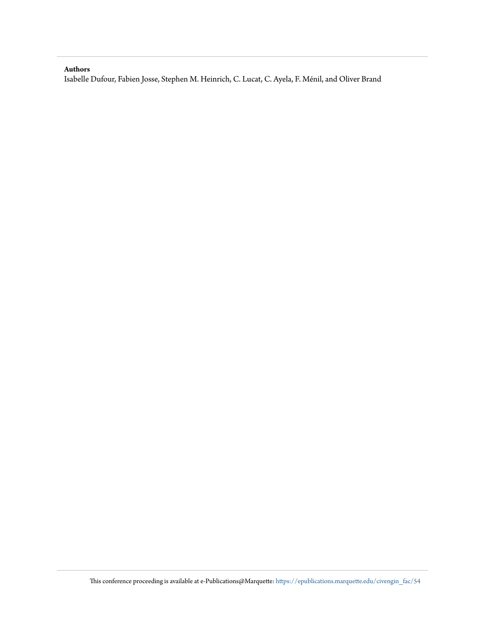# **Authors**

Isabelle Dufour, Fabien Josse, Stephen M. Heinrich, C. Lucat, C. Ayela, F. Ménil, and Oliver Brand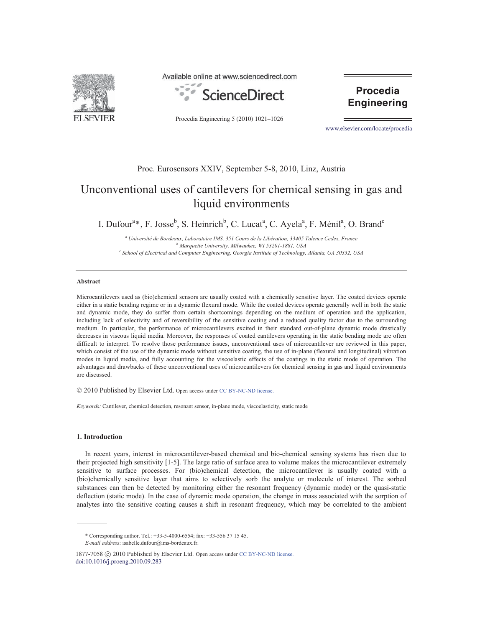

Available online at www.sciencedirect.com



Procedia Engineering 5 (2010) 1021–1026

**Engineering** 

**Engineering** www.elsevier.com/locate/procedia

**Procedia** 

# Proc. Eurosensors XXIV, September 5-8, 2010, Linz, Austria

# Unconventional uses of cantilevers for chemical sensing in gas and liquid environments

I. Dufour<sup>a</sup>\*, F. Josse<sup>b</sup>, S. Heinrich<sup>b</sup>, C. Lucat<sup>a</sup>, C. Ayela<sup>a</sup>, F. Ménil<sup>a</sup>, O. Brand<sup>c</sup>

<sup>a</sup> Université de Bordeaux, Laboratoire IMS, 351 Cours de la Libération, 33405 Talence Cedex, France<br><sup>b</sup> Marguetta Hajoratio, Milwaukee, WI 53201, 1991, USA  *Marquette University, Milwaukee, WI 53201-1881, USA c School of Electrical and Computer Engineering, Georgia Institute of Technology, Atlanta, GA 30332, USA* 

# **Abstract**

Microcantilevers used as (bio)chemical sensors are usually coated with a chemically sensitive layer. The coated devices operate either in a static bending regime or in a dynamic flexural mode. While the coated devices operate generally well in both the static and dynamic mode, they do suffer from certain shortcomings depending on the medium of operation and the application, including lack of selectivity and of reversibility of the sensitive coating and a reduced quality factor due to the surrounding medium. In particular, the performance of microcantilevers excited in their standard out-of-plane dynamic mode drastically decreases in viscous liquid media. Moreover, the responses of coated cantilevers operating in the static bending mode are often difficult to interpret. To resolve those performance issues, unconventional uses of microcantilever are reviewed in this paper, which consist of the use of the dynamic mode without sensitive coating, the use of in-plane (flexural and longitudinal) vibration modes in liquid media, and fully accounting for the viscoelastic effects of the coatings in the static mode of operation. The advantages and drawbacks of these unconventional uses of microcantilevers for chemical sensing in gas and liquid environments are discussed.

© 2010 Published by Elsevier Ltd. Open access under CC BY-NC-ND license.

*Keywords:* Cantilever, chemical detection, resonant sensor, in-plane mode, viscoelasticity, static mode

# **1. Introduction**

In recent years, interest in microcantilever-based chemical and bio-chemical sensing systems has risen due to their projected high sensitivity [1-5]. The large ratio of surface area to volume makes the microcantilever extremely sensitive to surface processes. For (bio)chemical detection, the microcantilever is usually coated with a (bio)chemically sensitive layer that aims to selectively sorb the analyte or molecule of interest. The sorbed substances can then be detected by monitoring either the resonant frequency (dynamic mode) or the quasi-static deflection (static mode). In the case of dynamic mode operation, the change in mass associated with the sorption of analytes into the sensitive coating causes a shift in resonant frequency, which may be correlated to the ambient

<sup>\*</sup> Corresponding author. Tel.: +33-5-4000-6554; fax: +33-556 37 15 45. *E-mail address*: isabelle.dufour@ims-bordeaux.fr.

<sup>1877-7058</sup>  $\circled{c}$  2010 Published by Elsevier Ltd. Open access under CC BY-NC-ND license. doi:10.1016/j.proeng.2010.09.283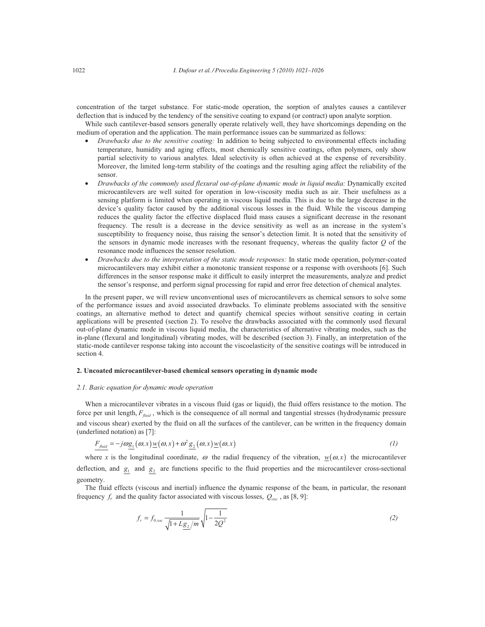concentration of the target substance. For static-mode operation, the sorption of analytes causes a cantilever deflection that is induced by the tendency of the sensitive coating to expand (or contract) upon analyte sorption.

While such cantilever-based sensors generally operate relatively well, they have shortcomings depending on the medium of operation and the application. The main performance issues can be summarized as follows:

- *Drawbacks due to the sensitive coating:* In addition to being subjected to environmental effects including temperature, humidity and aging effects, most chemically sensitive coatings, often polymers, only show partial selectivity to various analytes. Ideal selectivity is often achieved at the expense of reversibility. Moreover, the limited long-term stability of the coatings and the resulting aging affect the reliability of the sensor.
- *Drawbacks of the commonly used flexural out-of-plane dynamic mode in liquid media:* Dynamically excited microcantilevers are well suited for operation in low-viscosity media such as air. Their usefulness as a sensing platform is limited when operating in viscous liquid media. This is due to the large decrease in the device's quality factor caused by the additional viscous losses in the fluid. While the viscous damping reduces the quality factor the effective displaced fluid mass causes a significant decrease in the resonant frequency. The result is a decrease in the device sensitivity as well as an increase in the system's susceptibility to frequency noise, thus raising the sensor's detection limit. It is noted that the sensitivity of the sensors in dynamic mode increases with the resonant frequency, whereas the quality factor *Q* of the resonance mode influences the sensor resolution.
- *Drawbacks due to the interpretation of the static mode responses:* In static mode operation, polymer-coated microcantilevers may exhibit either a monotonic transient response or a response with overshoots [6]. Such differences in the sensor response make it difficult to easily interpret the measurements, analyze and predict the sensor's response, and perform signal processing for rapid and error free detection of chemical analytes.

In the present paper, we will review unconventional uses of microcantilevers as chemical sensors to solve some of the performance issues and avoid associated drawbacks. To eliminate problems associated with the sensitive coatings, an alternative method to detect and quantify chemical species without sensitive coating in certain applications will be presented (section 2). To resolve the drawbacks associated with the commonly used flexural out-of-plane dynamic mode in viscous liquid media, the characteristics of alternative vibrating modes, such as the in-plane (flexural and longitudinal) vibrating modes, will be described (section 3). Finally, an interpretation of the static-mode cantilever response taking into account the viscoelasticity of the sensitive coatings will be introduced in section 4.

# **2. Uncoated microcantilever-based chemical sensors operating in dynamic mode**

## *2.1. Basic equation for dynamic mode operation*

When a microcantilever vibrates in a viscous fluid (gas or liquid), the fluid offers resistance to the motion. The force per unit length,  $F_{fluid}$ , which is the consequence of all normal and tangential stresses (hydrodynamic pressure and viscous shear) exerted by the fluid on all the surfaces of the cantilever, can be written in the frequency domain (underlined notation) as [7]:

$$
F_{\text{fluid}} = -j\omega_{g_1}(\omega, x) \underline{w}(\omega, x) + \omega^2 \underline{g_2}(\omega, x) \underline{w}(\omega, x)
$$
 (1)

where *x* is the longitudinal coordinate,  $\omega$  the radial frequency of the vibration,  $w(\omega, x)$  the microcantilever deflection, and  $g_1$  and  $g_2$  are functions specific to the fluid properties and the microcantilever cross-sectional geometry.

The fluid effects (viscous and inertial) influence the dynamic response of the beam, in particular, the resonant frequency  $f_r$  and the quality factor associated with viscous losses,  $Q_{\text{visc}}$ , as [8, 9]:

$$
f_r = f_{0,vac} \frac{1}{\sqrt{1 + L g_2/m}} \sqrt{1 - \frac{1}{2Q^2}}
$$
 (2)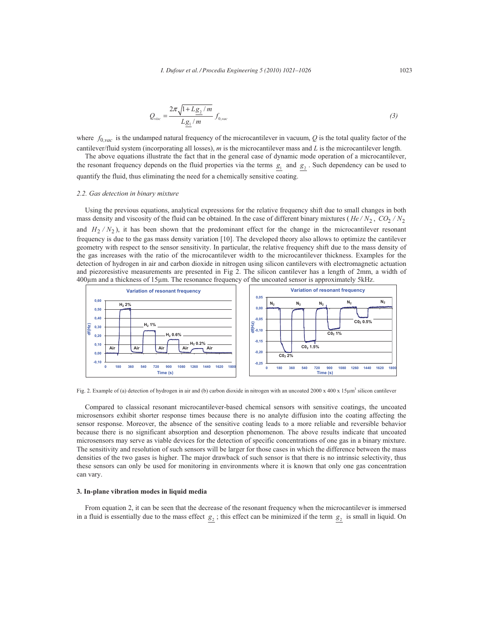*I. Dufour et al. / Procedia Engineering 5 (2010) 1021–1026* 1023

$$
Q_{\text{visc}} = \frac{2\pi\sqrt{1 + Lg_2/m}}{Lg_1/m} f_{0,\text{vac}}
$$
 (3)

where  $f_{0, vac}$  is the undamped natural frequency of the microcantilever in vacuum,  $Q$  is the total quality factor of the cantilever/fluid system (incorporating all losses), *m* is the microcantilever mass and *L* is the microcantilever length.

The above equations illustrate the fact that in the general case of dynamic mode operation of a microcantilever, the resonant frequency depends on the fluid properties via the terms  $g_1$  and  $g_2$ . Such dependency can be used to quantify the fluid, thus eliminating the need for a chemically sensitive coating.

#### *2.2. Gas detection in binary mixture*

Using the previous equations, analytical expressions for the relative frequency shift due to small changes in both mass density and viscosity of the fluid can be obtained. In the case of different binary mixtures ( $He/N_2$ ,  $CO_2/N_2$ ) and  $H_2/N_2$ ), it has been shown that the predominant effect for the change in the microcantilever resonant frequency is due to the gas mass density variation [10]. The developed theory also allows to optimize the cantilever geometry with respect to the sensor sensitivity. In particular, the relative frequency shift due to the mass density of the gas increases with the ratio of the microcantilever width to the microcantilever thickness. Examples for the detection of hydrogen in air and carbon dioxide in nitrogen using silicon cantilevers with electromagnetic actuation and piezoresistive measurements are presented in Fig 2. The silicon cantilever has a length of 2mm, a width of 400μm and a thickness of 15μm. The resonance frequency of the uncoated sensor is approximately 5kHz.



Fig. 2. Example of (a) detection of hydrogen in air and (b) carbon dioxide in nitrogen with an uncoated 2000 x 400 x 15μm<sup>3</sup> silicon cantilever

Compared to classical resonant microcantilever-based chemical sensors with sensitive coatings, the uncoated microsensors exhibit shorter response times because there is no analyte diffusion into the coating affecting the sensor response. Moreover, the absence of the sensitive coating leads to a more reliable and reversible behavior because there is no significant absorption and desorption phenomenon. The above results indicate that uncoated microsensors may serve as viable devices for the detection of specific concentrations of one gas in a binary mixture. The sensitivity and resolution of such sensors will be larger for those cases in which the difference between the mass densities of the two gases is higher. The major drawback of such sensor is that there is no intrinsic selectivity, thus these sensors can only be used for monitoring in environments where it is known that only one gas concentration can vary.

# **3. In-plane vibration modes in liquid media**

From equation 2, it can be seen that the decrease of the resonant frequency when the microcantilever is immersed in a fluid is essentially due to the mass effect  $g_2$ ; this effect can be minimized if the term  $g_2$  is small in liquid. On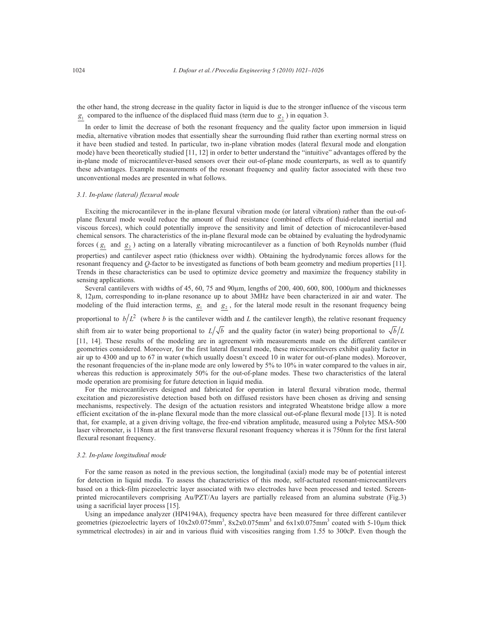the other hand, the strong decrease in the quality factor in liquid is due to the stronger influence of the viscous term  $g_1$  compared to the influence of the displaced fluid mass (term due to  $g_2$ ) in equation 3.

In order to limit the decrease of both the resonant frequency and the quality factor upon immersion in liquid media, alternative vibration modes that essentially shear the surrounding fluid rather than exerting normal stress on it have been studied and tested. In particular, two in-plane vibration modes (lateral flexural mode and elongation mode) have been theoretically studied [11, 12] in order to better understand the "intuitive" advantages offered by the in-plane mode of microcantilever-based sensors over their out-of-plane mode counterparts, as well as to quantify these advantages. Example measurements of the resonant frequency and quality factor associated with these two unconventional modes are presented in what follows.

# *3.1. In-plane (lateral) flexural mode*

Exciting the microcantilever in the in-plane flexural vibration mode (or lateral vibration) rather than the out-ofplane flexural mode would reduce the amount of fluid resistance (combined effects of fluid-related inertial and viscous forces), which could potentially improve the sensitivity and limit of detection of microcantilever-based chemical sensors. The characteristics of the in-plane flexural mode can be obtained by evaluating the hydrodynamic forces ( $g_1$  and  $g_2$ ) acting on a laterally vibrating microcantilever as a function of both Reynolds number (fluid properties) and cantilever aspect ratio (thickness over width). Obtaining the hydrodynamic forces allows for the resonant frequency and *Q*-factor to be investigated as functions of both beam geometry and medium properties [11]. Trends in these characteristics can be used to optimize device geometry and maximize the frequency stability in sensing applications.

Several cantilevers with widths of 45, 60, 75 and 90μm, lengths of 200, 400, 600, 800, 1000μm and thicknesses 8, 12μm, corresponding to in-plane resonance up to about 3MHz have been characterized in air and water. The modeling of the fluid interaction terms,  $g_1$  and  $g_2$ , for the lateral mode result in the resonant frequency being

proportional to  $b/L^2$  (where *b* is the cantilever width and *L* the cantilever length), the relative resonant frequency

shift from air to water being proportional to  $L/\sqrt{b}$  and the quality factor (in water) being proportional to  $\sqrt{b}/L$ 

[11, 14]. These results of the modeling are in agreement with measurements made on the different cantilever geometries considered. Moreover, for the first lateral flexural mode, these microcantilevers exhibit quality factor in air up to 4300 and up to 67 in water (which usually doesn't exceed 10 in water for out-of-plane modes). Moreover, the resonant frequencies of the in-plane mode are only lowered by 5% to 10% in water compared to the values in air, whereas this reduction is approximately 50% for the out-of-plane modes. These two characteristics of the lateral mode operation are promising for future detection in liquid media.

For the microcantilevers designed and fabricated for operation in lateral flexural vibration mode, thermal excitation and piezoresistive detection based both on diffused resistors have been chosen as driving and sensing mechanisms, respectively. The design of the actuation resistors and integrated Wheatstone bridge allow a more efficient excitation of the in-plane flexural mode than the more classical out-of-plane flexural mode [13]. It is noted that, for example, at a given driving voltage, the free-end vibration amplitude, measured using a Polytec MSA-500 laser vibrometer, is 118nm at the first transverse flexural resonant frequency whereas it is 750nm for the first lateral flexural resonant frequency.

#### *3.2. In-plane longitudinal mode*

For the same reason as noted in the previous section, the longitudinal (axial) mode may be of potential interest for detection in liquid media. To assess the characteristics of this mode, self-actuated resonant-microcantilevers based on a thick-film piezoelectric layer associated with two electrodes have been processed and tested. Screenprinted microcantilevers comprising Au/PZT/Au layers are partially released from an alumina substrate (Fig.3) using a sacrificial layer process [15].

Using an impedance analyzer (HP4194A), frequency spectra have been measured for three different cantilever geometries (piezoelectric layers of  $10x2x0.075mm^3$ ,  $8x2x0.075mm^3$  and  $6x1x0.075mm^3$  coated with 5-10µm thick symmetrical electrodes) in air and in various fluid with viscosities ranging from 1.55 to 300cP. Even though the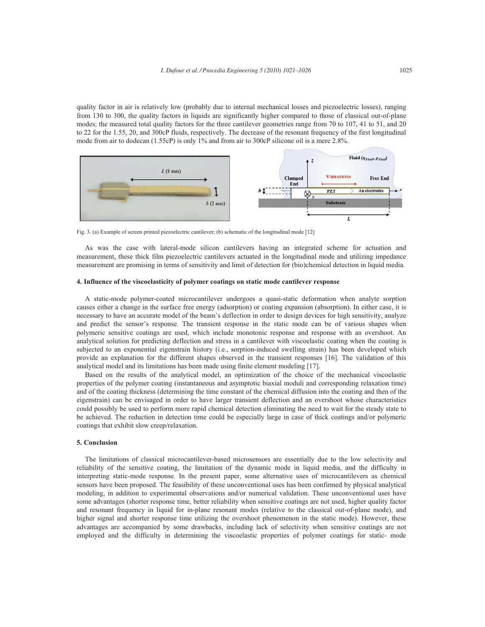quality factor in air is relatively low (probably due to internal mechanical losses and piezoelectric losses), ranging from 130 to 300, the quality factors in liquids are significantly higher compared to those of classical out-of-plane modes; the measured total quality factors for the three cantilever geometries range from 70 to 107, 41 to 51, and 20 to 22 for the 1.55, 20, and 300cP fluids, respectively. The decrease of the resonant frequency of the first longitudinal mode from air to dodecan (1.55cP) is only 1% and from air to 300cP silicone oil is a mere 2.8%.



Fig. 3. (a) Example of screen printed piezoelectric cantilever; (b) schematic of the longitudinal mode [12]

As was the case with lateral-mode silicon cantilevers having an integrated scheme for actuation and measurement, these thick film piezoelectric cantilevers actuated in the longitudinal mode and utilizing impedance measurement are promising in terms of sensitivity and limit of detection for (bio)chemical detection in liquid media.

# **4. Influence of the viscoelasticity of polymer coatings on static mode cantilever response**

A static-mode polymer-coated microcantilever undergoes a quasi-static deformation when analyte sorption causes either a change in the surface free energy (adsorption) or coating expansion (absorption). In either case, it is necessary to have an accurate model of the beam's deflection in order to design devices for high sensitivity, analyze and predict the sensor's response. The transient response in the static mode can be of various shapes when polymeric sensitive coatings are used, which include monotonic response and response with an overshoot. An analytical solution for predicting deflection and stress in a cantilever with viscoelastic coating when the coating is subjected to an exponential eigenstrain history (i.e., sorption-induced swelling strain) has been developed which provide an explanation for the different shapes observed in the transient responses [16]. The validation of this analytical model and its limitations has been made using finite element modeling [17].

Based on the results of the analytical model, an optimization of the choice of the mechanical viscoelastic properties of the polymer coating (instantaneous and asymptotic biaxial moduli and corresponding relaxation time) and of the coating thickness (determining the time constant of the chemical diffusion into the coating and then of the eigenstrain) can be envisaged in order to have larger transient deflection and an overshoot whose characteristics could possibly be used to perform more rapid chemical detection eliminating the need to wait for the steady state to be achieved. The reduction in detection time could be especially large in case of thick coatings and/or polymeric coatings that exhibit slow creep/relaxation.

# **5. Conclusion**

The limitations of classical microcantilever-based microsensors are essentially due to the low selectivity and reliability of the sensitive coating, the limitation of the dynamic mode in liquid media, and the difficulty in interpreting static-mode response. In the present paper, some alternative uses of microcantilevers as chemical sensors have been proposed. The feasibility of these unconventional uses has been confirmed by physical analytical modeling, in addition to experimental observations and/or numerical validation. These unconventional uses have some advantages (shorter response time, better reliability when sensitive coatings are not used, higher quality factor and resonant frequency in liquid for in-plane resonant modes (relative to the classical out-of-plane mode), and higher signal and shorter response time utilizing the overshoot phenomenon in the static mode). However, these advantages are accompanied by some drawbacks, including lack of selectivity when sensitive coatings are not employed and the difficulty in determining the viscoelastic properties of polymer coatings for static- mode